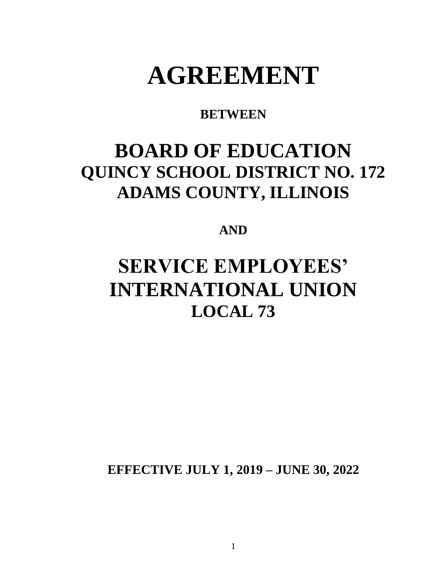# **AGREEMENT**

### **BETWEEN**

## **BOARD OF EDUCATION QUINCY SCHOOL DISTRICT NO. 172 ADAMS COUNTY, ILLINOIS**

### **AND**

## **SERVICE EMPLOYEES' INTERNATIONAL UNION LOCAL 73**

**EFFECTIVE JULY 1, 2019 – JUNE 30, 2022**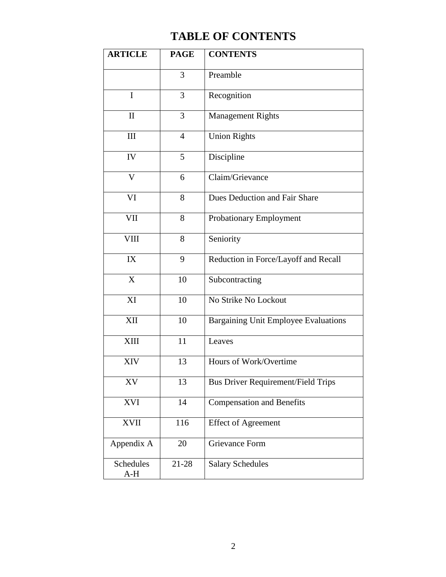## **TABLE OF CONTENTS**

| <b>ARTICLE</b>     | <b>PAGE</b>    | <b>CONTENTS</b>                           |
|--------------------|----------------|-------------------------------------------|
|                    | 3              | Preamble                                  |
| I                  | 3              | Recognition                               |
| $\mathbf{I}$       | 3              | <b>Management Rights</b>                  |
| III                | $\overline{4}$ | <b>Union Rights</b>                       |
| IV                 | 5              | Discipline                                |
| $\mathbf{V}$       | 6              | Claim/Grievance                           |
| VI                 | 8              | Dues Deduction and Fair Share             |
| VII                | 8              | <b>Probationary Employment</b>            |
| <b>VIII</b>        | 8              | Seniority                                 |
| IX                 | 9              | Reduction in Force/Layoff and Recall      |
| X                  | 10             | Subcontracting                            |
| XI                 | 10             | No Strike No Lockout                      |
| XII                | 10             | Bargaining Unit Employee Evaluations      |
| XIII               | 11             | Leaves                                    |
| XIV                | 13             | Hours of Work/Overtime                    |
| XV                 | 13             | <b>Bus Driver Requirement/Field Trips</b> |
| <b>XVI</b>         | 14             | <b>Compensation and Benefits</b>          |
| <b>XVII</b>        | 116            | <b>Effect of Agreement</b>                |
| Appendix A         | 20             | <b>Grievance Form</b>                     |
| Schedules<br>$A-H$ | $21 - 28$      | <b>Salary Schedules</b>                   |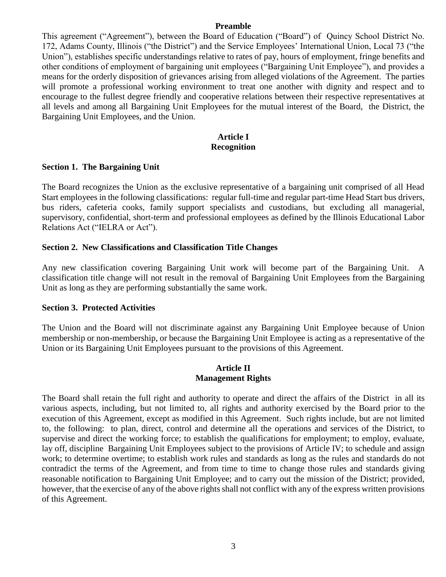#### **Preamble**

This agreement ("Agreement"), between the Board of Education ("Board") of Quincy School District No. 172, Adams County, Illinois ("the District") and the Service Employees' International Union, Local 73 ("the Union"), establishes specific understandings relative to rates of pay, hours of employment, fringe benefits and other conditions of employment of bargaining unit employees ("Bargaining Unit Employee"), and provides a means for the orderly disposition of grievances arising from alleged violations of the Agreement. The parties will promote a professional working environment to treat one another with dignity and respect and to encourage to the fullest degree friendly and cooperative relations between their respective representatives at all levels and among all Bargaining Unit Employees for the mutual interest of the Board, the District, the Bargaining Unit Employees, and the Union.

#### **Article I Recognition**

#### **Section 1. The Bargaining Unit**

The Board recognizes the Union as the exclusive representative of a bargaining unit comprised of all Head Start employees in the following classifications: regular full-time and regular part-time Head Start bus drivers, bus riders, cafeteria cooks, family support specialists and custodians, but excluding all managerial, supervisory, confidential, short-term and professional employees as defined by the Illinois Educational Labor Relations Act ("IELRA or Act").

#### **Section 2. New Classifications and Classification Title Changes**

Any new classification covering Bargaining Unit work will become part of the Bargaining Unit. A classification title change will not result in the removal of Bargaining Unit Employees from the Bargaining Unit as long as they are performing substantially the same work.

#### **Section 3. Protected Activities**

The Union and the Board will not discriminate against any Bargaining Unit Employee because of Union membership or non-membership, or because the Bargaining Unit Employee is acting as a representative of the Union or its Bargaining Unit Employees pursuant to the provisions of this Agreement.

#### **Article II Management Rights**

The Board shall retain the full right and authority to operate and direct the affairs of the District in all its various aspects, including, but not limited to, all rights and authority exercised by the Board prior to the execution of this Agreement, except as modified in this Agreement. Such rights include, but are not limited to, the following: to plan, direct, control and determine all the operations and services of the District, to supervise and direct the working force; to establish the qualifications for employment; to employ, evaluate, lay off, discipline Bargaining Unit Employees subject to the provisions of Article IV; to schedule and assign work; to determine overtime; to establish work rules and standards as long as the rules and standards do not contradict the terms of the Agreement, and from time to time to change those rules and standards giving reasonable notification to Bargaining Unit Employee; and to carry out the mission of the District; provided, however, that the exercise of any of the above rights shall not conflict with any of the express written provisions of this Agreement.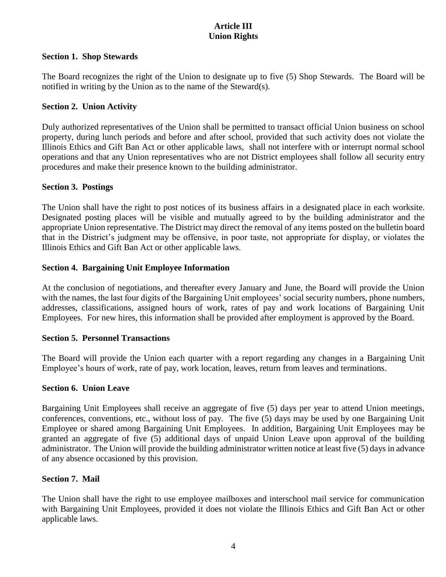#### **Article III Union Rights**

#### **Section 1. Shop Stewards**

The Board recognizes the right of the Union to designate up to five (5) Shop Stewards. The Board will be notified in writing by the Union as to the name of the Steward(s).

#### **Section 2. Union Activity**

Duly authorized representatives of the Union shall be permitted to transact official Union business on school property, during lunch periods and before and after school, provided that such activity does not violate the Illinois Ethics and Gift Ban Act or other applicable laws, shall not interfere with or interrupt normal school operations and that any Union representatives who are not District employees shall follow all security entry procedures and make their presence known to the building administrator.

#### **Section 3. Postings**

The Union shall have the right to post notices of its business affairs in a designated place in each worksite. Designated posting places will be visible and mutually agreed to by the building administrator and the appropriate Union representative. The District may direct the removal of any items posted on the bulletin board that in the District's judgment may be offensive, in poor taste, not appropriate for display, or violates the Illinois Ethics and Gift Ban Act or other applicable laws.

#### **Section 4. Bargaining Unit Employee Information**

At the conclusion of negotiations, and thereafter every January and June, the Board will provide the Union with the names, the last four digits of the Bargaining Unit employees' social security numbers, phone numbers, addresses, classifications, assigned hours of work, rates of pay and work locations of Bargaining Unit Employees. For new hires, this information shall be provided after employment is approved by the Board.

#### **Section 5. Personnel Transactions**

The Board will provide the Union each quarter with a report regarding any changes in a Bargaining Unit Employee's hours of work, rate of pay, work location, leaves, return from leaves and terminations.

#### **Section 6. Union Leave**

Bargaining Unit Employees shall receive an aggregate of five (5) days per year to attend Union meetings, conferences, conventions, etc., without loss of pay. The five (5) days may be used by one Bargaining Unit Employee or shared among Bargaining Unit Employees. In addition, Bargaining Unit Employees may be granted an aggregate of five (5) additional days of unpaid Union Leave upon approval of the building administrator. The Union will provide the building administrator written notice at least five (5) days in advance of any absence occasioned by this provision.

#### **Section 7. Mail**

The Union shall have the right to use employee mailboxes and interschool mail service for communication with Bargaining Unit Employees, provided it does not violate the Illinois Ethics and Gift Ban Act or other applicable laws.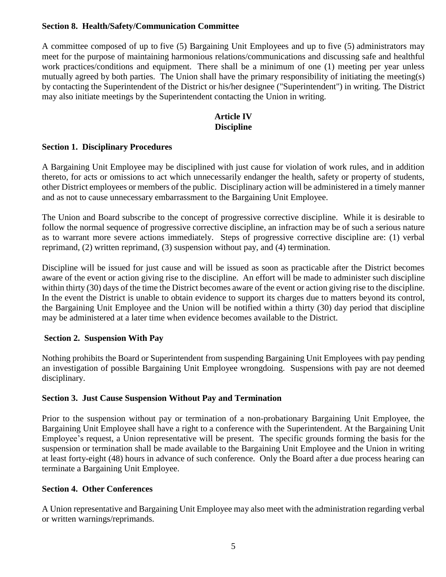#### **Section 8. Health/Safety/Communication Committee**

A committee composed of up to five (5) Bargaining Unit Employees and up to five (5) administrators may meet for the purpose of maintaining harmonious relations/communications and discussing safe and healthful work practices/conditions and equipment. There shall be a minimum of one (1) meeting per year unless mutually agreed by both parties. The Union shall have the primary responsibility of initiating the meeting(s) by contacting the Superintendent of the District or his/her designee ("Superintendent") in writing. The District may also initiate meetings by the Superintendent contacting the Union in writing.

#### **Article IV Discipline**

#### **Section 1. Disciplinary Procedures**

A Bargaining Unit Employee may be disciplined with just cause for violation of work rules, and in addition thereto, for acts or omissions to act which unnecessarily endanger the health, safety or property of students, other District employees or members of the public. Disciplinary action will be administered in a timely manner and as not to cause unnecessary embarrassment to the Bargaining Unit Employee.

The Union and Board subscribe to the concept of progressive corrective discipline. While it is desirable to follow the normal sequence of progressive corrective discipline, an infraction may be of such a serious nature as to warrant more severe actions immediately. Steps of progressive corrective discipline are: (1) verbal reprimand, (2) written reprimand, (3) suspension without pay, and (4) termination.

Discipline will be issued for just cause and will be issued as soon as practicable after the District becomes aware of the event or action giving rise to the discipline. An effort will be made to administer such discipline within thirty (30) days of the time the District becomes aware of the event or action giving rise to the discipline. In the event the District is unable to obtain evidence to support its charges due to matters beyond its control, the Bargaining Unit Employee and the Union will be notified within a thirty (30) day period that discipline may be administered at a later time when evidence becomes available to the District.

#### **Section 2. Suspension With Pay**

Nothing prohibits the Board or Superintendent from suspending Bargaining Unit Employees with pay pending an investigation of possible Bargaining Unit Employee wrongdoing. Suspensions with pay are not deemed disciplinary.

#### **Section 3. Just Cause Suspension Without Pay and Termination**

Prior to the suspension without pay or termination of a non-probationary Bargaining Unit Employee, the Bargaining Unit Employee shall have a right to a conference with the Superintendent. At the Bargaining Unit Employee's request, a Union representative will be present. The specific grounds forming the basis for the suspension or termination shall be made available to the Bargaining Unit Employee and the Union in writing at least forty-eight (48) hours in advance of such conference. Only the Board after a due process hearing can terminate a Bargaining Unit Employee.

#### **Section 4. Other Conferences**

A Union representative and Bargaining Unit Employee may also meet with the administration regarding verbal or written warnings/reprimands.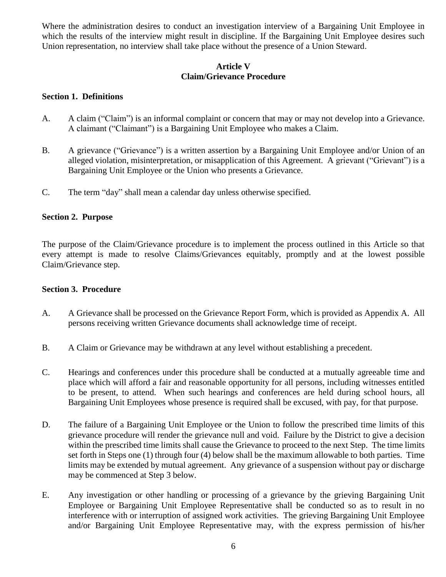Where the administration desires to conduct an investigation interview of a Bargaining Unit Employee in which the results of the interview might result in discipline. If the Bargaining Unit Employee desires such Union representation, no interview shall take place without the presence of a Union Steward.

#### **Article V Claim/Grievance Procedure**

#### **Section 1. Definitions**

- A. A claim ("Claim") is an informal complaint or concern that may or may not develop into a Grievance. A claimant ("Claimant") is a Bargaining Unit Employee who makes a Claim.
- B. A grievance ("Grievance") is a written assertion by a Bargaining Unit Employee and/or Union of an alleged violation, misinterpretation, or misapplication of this Agreement. A grievant ("Grievant") is a Bargaining Unit Employee or the Union who presents a Grievance.
- C. The term "day" shall mean a calendar day unless otherwise specified.

#### **Section 2. Purpose**

The purpose of the Claim/Grievance procedure is to implement the process outlined in this Article so that every attempt is made to resolve Claims/Grievances equitably, promptly and at the lowest possible Claim/Grievance step.

#### **Section 3. Procedure**

- A. A Grievance shall be processed on the Grievance Report Form, which is provided as Appendix A. All persons receiving written Grievance documents shall acknowledge time of receipt.
- B. A Claim or Grievance may be withdrawn at any level without establishing a precedent.
- C. Hearings and conferences under this procedure shall be conducted at a mutually agreeable time and place which will afford a fair and reasonable opportunity for all persons, including witnesses entitled to be present, to attend. When such hearings and conferences are held during school hours, all Bargaining Unit Employees whose presence is required shall be excused, with pay, for that purpose.
- D. The failure of a Bargaining Unit Employee or the Union to follow the prescribed time limits of this grievance procedure will render the grievance null and void. Failure by the District to give a decision within the prescribed time limits shall cause the Grievance to proceed to the next Step. The time limits set forth in Steps one (1) through four (4) below shall be the maximum allowable to both parties. Time limits may be extended by mutual agreement. Any grievance of a suspension without pay or discharge may be commenced at Step 3 below.
- E. Any investigation or other handling or processing of a grievance by the grieving Bargaining Unit Employee or Bargaining Unit Employee Representative shall be conducted so as to result in no interference with or interruption of assigned work activities. The grieving Bargaining Unit Employee and/or Bargaining Unit Employee Representative may, with the express permission of his/her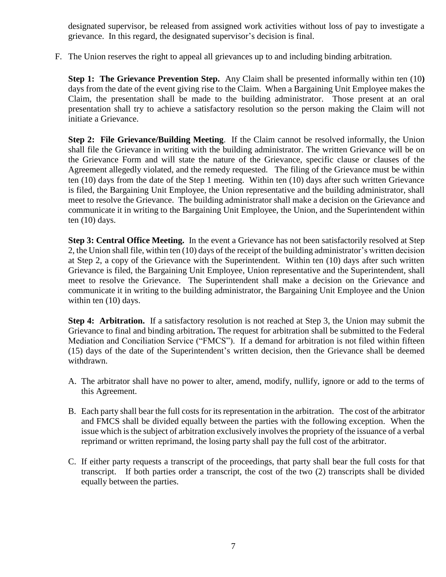designated supervisor, be released from assigned work activities without loss of pay to investigate a grievance. In this regard, the designated supervisor's decision is final.

F. The Union reserves the right to appeal all grievances up to and including binding arbitration.

**Step 1: The Grievance Prevention Step.** Any Claim shall be presented informally within ten (10**)** days from the date of the event giving rise to the Claim. When a Bargaining Unit Employee makes the Claim, the presentation shall be made to the building administrator. Those present at an oral presentation shall try to achieve a satisfactory resolution so the person making the Claim will not initiate a Grievance.

**Step 2: File Grievance/Building Meeting**. If the Claim cannot be resolved informally, the Union shall file the Grievance in writing with the building administrator. The written Grievance will be on the Grievance Form and will state the nature of the Grievance, specific clause or clauses of the Agreement allegedly violated, and the remedy requested. The filing of the Grievance must be within ten (10) days from the date of the Step 1 meeting. Within ten (10) days after such written Grievance is filed, the Bargaining Unit Employee, the Union representative and the building administrator, shall meet to resolve the Grievance. The building administrator shall make a decision on the Grievance and communicate it in writing to the Bargaining Unit Employee, the Union, and the Superintendent within ten (10) days.

**Step 3: Central Office Meeting.** In the event a Grievance has not been satisfactorily resolved at Step 2, the Union shall file, within ten (10) days of the receipt of the building administrator's written decision at Step 2, a copy of the Grievance with the Superintendent. Within ten (10) days after such written Grievance is filed, the Bargaining Unit Employee, Union representative and the Superintendent, shall meet to resolve the Grievance. The Superintendent shall make a decision on the Grievance and communicate it in writing to the building administrator, the Bargaining Unit Employee and the Union within ten (10) days.

**Step 4: Arbitration.** If a satisfactory resolution is not reached at Step 3, the Union may submit the Grievance to final and binding arbitration**.** The request for arbitration shall be submitted to the Federal Mediation and Conciliation Service ("FMCS").If a demand for arbitration is not filed within fifteen (15) days of the date of the Superintendent's written decision, then the Grievance shall be deemed withdrawn.

- A. The arbitrator shall have no power to alter, amend, modify, nullify, ignore or add to the terms of this Agreement.
- B. Each party shall bear the full costs for its representation in the arbitration. The cost of the arbitrator and FMCS shall be divided equally between the parties with the following exception. When the issue which is the subject of arbitration exclusively involves the propriety of the issuance of a verbal reprimand or written reprimand, the losing party shall pay the full cost of the arbitrator.
- C. If either party requests a transcript of the proceedings, that party shall bear the full costs for that transcript. If both parties order a transcript, the cost of the two (2) transcripts shall be divided equally between the parties.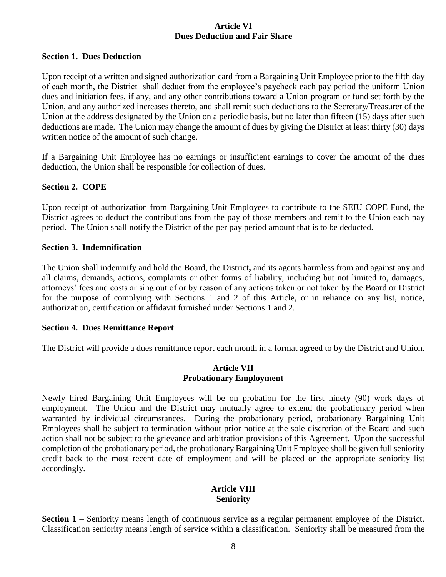#### **Article VI Dues Deduction and Fair Share**

#### **Section 1. Dues Deduction**

Upon receipt of a written and signed authorization card from a Bargaining Unit Employee prior to the fifth day of each month, the District shall deduct from the employee's paycheck each pay period the uniform Union dues and initiation fees, if any, and any other contributions toward a Union program or fund set forth by the Union, and any authorized increases thereto, and shall remit such deductions to the Secretary/Treasurer of the Union at the address designated by the Union on a periodic basis, but no later than fifteen (15) days after such deductions are made. The Union may change the amount of dues by giving the District at least thirty (30) days written notice of the amount of such change.

If a Bargaining Unit Employee has no earnings or insufficient earnings to cover the amount of the dues deduction, the Union shall be responsible for collection of dues.

#### **Section 2. COPE**

Upon receipt of authorization from Bargaining Unit Employees to contribute to the SEIU COPE Fund, the District agrees to deduct the contributions from the pay of those members and remit to the Union each pay period. The Union shall notify the District of the per pay period amount that is to be deducted.

#### **Section 3. Indemnification**

The Union shall indemnify and hold the Board, the District**,** and its agents harmless from and against any and all claims, demands, actions, complaints or other forms of liability, including but not limited to, damages, attorneys' fees and costs arising out of or by reason of any actions taken or not taken by the Board or District for the purpose of complying with Sections 1 and 2 of this Article, or in reliance on any list, notice, authorization, certification or affidavit furnished under Sections 1 and 2.

#### **Section 4. Dues Remittance Report**

The District will provide a dues remittance report each month in a format agreed to by the District and Union.

#### **Article VII Probationary Employment**

Newly hired Bargaining Unit Employees will be on probation for the first ninety (90) work days of employment. The Union and the District may mutually agree to extend the probationary period when warranted by individual circumstances. During the probationary period, probationary Bargaining Unit Employees shall be subject to termination without prior notice at the sole discretion of the Board and such action shall not be subject to the grievance and arbitration provisions of this Agreement. Upon the successful completion of the probationary period, the probationary Bargaining Unit Employee shall be given full seniority credit back to the most recent date of employment and will be placed on the appropriate seniority list accordingly.

#### **Article VIII Seniority**

**Section 1** – Seniority means length of continuous service as a regular permanent employee of the District. Classification seniority means length of service within a classification. Seniority shall be measured from the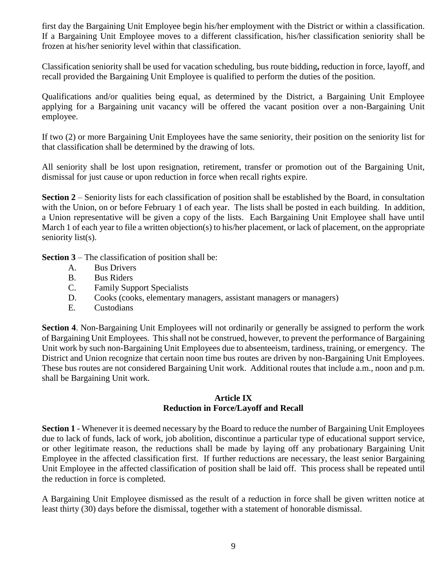first day the Bargaining Unit Employee begin his/her employment with the District or within a classification. If a Bargaining Unit Employee moves to a different classification, his/her classification seniority shall be frozen at his/her seniority level within that classification.

Classification seniority shall be used for vacation scheduling, bus route bidding**,** reduction in force, layoff, and recall provided the Bargaining Unit Employee is qualified to perform the duties of the position.

Qualifications and/or qualities being equal, as determined by the District, a Bargaining Unit Employee applying for a Bargaining unit vacancy will be offered the vacant position over a non-Bargaining Unit employee.

If two (2) or more Bargaining Unit Employees have the same seniority, their position on the seniority list for that classification shall be determined by the drawing of lots.

All seniority shall be lost upon resignation, retirement, transfer or promotion out of the Bargaining Unit, dismissal for just cause or upon reduction in force when recall rights expire.

**Section 2** – Seniority lists for each classification of position shall be established by the Board, in consultation with the Union, on or before February 1 of each year. The lists shall be posted in each building. In addition, a Union representative will be given a copy of the lists. Each Bargaining Unit Employee shall have until March 1 of each year to file a written objection(s) to his/her placement, or lack of placement, on the appropriate seniority list(s).

**Section 3** – The classification of position shall be:

- A. Bus Drivers
- B. Bus Riders
- C. Family Support Specialists
- D. Cooks (cooks, elementary managers, assistant managers or managers)
- E. Custodians

**Section 4**. Non-Bargaining Unit Employees will not ordinarily or generally be assigned to perform the work of Bargaining Unit Employees. This shall not be construed, however, to prevent the performance of Bargaining Unit work by such non-Bargaining Unit Employees due to absenteeism, tardiness, training, or emergency. The District and Union recognize that certain noon time bus routes are driven by non-Bargaining Unit Employees. These bus routes are not considered Bargaining Unit work. Additional routes that include a.m., noon and p.m. shall be Bargaining Unit work.

#### **Article IX Reduction in Force/Layoff and Recall**

**Section 1** - Whenever it is deemed necessary by the Board to reduce the number of Bargaining Unit Employees due to lack of funds, lack of work, job abolition, discontinue a particular type of educational support service, or other legitimate reason, the reductions shall be made by laying off any probationary Bargaining Unit Employee in the affected classification first. If further reductions are necessary, the least senior Bargaining Unit Employee in the affected classification of position shall be laid off. This process shall be repeated until the reduction in force is completed.

A Bargaining Unit Employee dismissed as the result of a reduction in force shall be given written notice at least thirty (30) days before the dismissal, together with a statement of honorable dismissal.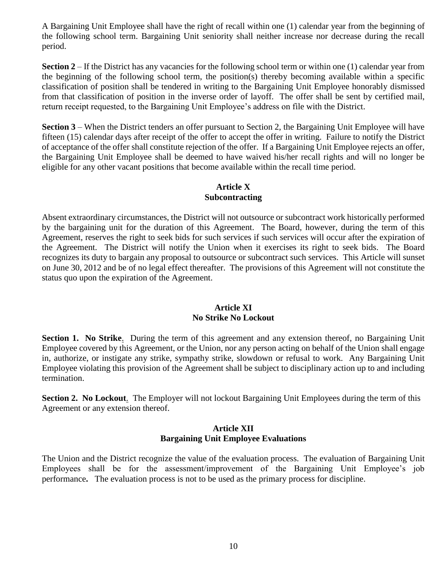A Bargaining Unit Employee shall have the right of recall within one (1) calendar year from the beginning of the following school term. Bargaining Unit seniority shall neither increase nor decrease during the recall period.

**Section 2** – If the District has any vacancies for the following school term or within one (1) calendar year from the beginning of the following school term, the position(s) thereby becoming available within a specific classification of position shall be tendered in writing to the Bargaining Unit Employee honorably dismissed from that classification of position in the inverse order of layoff. The offer shall be sent by certified mail, return receipt requested, to the Bargaining Unit Employee's address on file with the District.

**Section 3** – When the District tenders an offer pursuant to Section 2, the Bargaining Unit Employee will have fifteen (15) calendar days after receipt of the offer to accept the offer in writing. Failure to notify the District of acceptance of the offer shall constitute rejection of the offer. If a Bargaining Unit Employee rejects an offer, the Bargaining Unit Employee shall be deemed to have waived his/her recall rights and will no longer be eligible for any other vacant positions that become available within the recall time period.

#### **Article X Subcontracting**

Absent extraordinary circumstances, the District will not outsource or subcontract work historically performed by the bargaining unit for the duration of this Agreement. The Board, however, during the term of this Agreement, reserves the right to seek bids for such services if such services will occur after the expiration of the Agreement. The District will notify the Union when it exercises its right to seek bids.The Board recognizes its duty to bargain any proposal to outsource or subcontract such services. This Article will sunset on June 30, 2012 and be of no legal effect thereafter. The provisions of this Agreement will not constitute the status quo upon the expiration of the Agreement.

#### **Article XI No Strike No Lockout**

**Section 1. No Strike**. During the term of this agreement and any extension thereof, no Bargaining Unit Employee covered by this Agreement, or the Union, nor any person acting on behalf of the Union shall engage in, authorize, or instigate any strike, sympathy strike, slowdown or refusal to work. Any Bargaining Unit Employee violating this provision of the Agreement shall be subject to disciplinary action up to and including termination.

**Section 2. No Lockout**. The Employer will not lockout Bargaining Unit Employees during the term of this Agreement or any extension thereof.

#### **Article XII Bargaining Unit Employee Evaluations**

The Union and the District recognize the value of the evaluation process. The evaluation of Bargaining Unit Employees shall be for the assessment/improvement of the Bargaining Unit Employee's job performance**.** The evaluation process is not to be used as the primary process for discipline.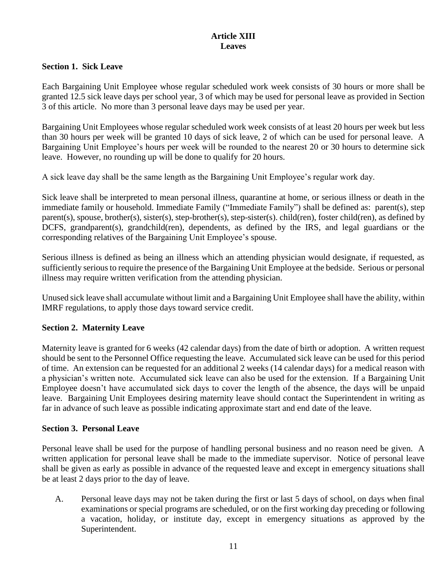#### **Article XIII Leaves**

#### **Section 1. Sick Leave**

Each Bargaining Unit Employee whose regular scheduled work week consists of 30 hours or more shall be granted 12.5 sick leave days per school year, 3 of which may be used for personal leave as provided in Section 3 of this article. No more than 3 personal leave days may be used per year.

Bargaining Unit Employees whose regular scheduled work week consists of at least 20 hours per week but less than 30 hours per week will be granted 10 days of sick leave, 2 of which can be used for personal leave. A Bargaining Unit Employee's hours per week will be rounded to the nearest 20 or 30 hours to determine sick leave. However, no rounding up will be done to qualify for 20 hours.

A sick leave day shall be the same length as the Bargaining Unit Employee's regular work day.

Sick leave shall be interpreted to mean personal illness, quarantine at home, or serious illness or death in the immediate family or household. Immediate Family ("Immediate Family") shall be defined as: parent(s), step parent(s), spouse, brother(s), sister(s), step-brother(s), step-sister(s). child(ren), foster child(ren), as defined by DCFS, grandparent(s), grandchild(ren), dependents, as defined by the IRS, and legal guardians or the corresponding relatives of the Bargaining Unit Employee's spouse.

Serious illness is defined as being an illness which an attending physician would designate, if requested, as sufficiently serious to require the presence of the Bargaining Unit Employee at the bedside. Serious or personal illness may require written verification from the attending physician.

Unused sick leave shall accumulate without limit and a Bargaining Unit Employee shall have the ability, within IMRF regulations, to apply those days toward service credit.

#### **Section 2. Maternity Leave**

Maternity leave is granted for 6 weeks (42 calendar days) from the date of birth or adoption. A written request should be sent to the Personnel Office requesting the leave. Accumulated sick leave can be used for this period of time. An extension can be requested for an additional 2 weeks (14 calendar days) for a medical reason with a physician's written note. Accumulated sick leave can also be used for the extension. If a Bargaining Unit Employee doesn't have accumulated sick days to cover the length of the absence, the days will be unpaid leave. Bargaining Unit Employees desiring maternity leave should contact the Superintendent in writing as far in advance of such leave as possible indicating approximate start and end date of the leave.

#### **Section 3. Personal Leave**

Personal leave shall be used for the purpose of handling personal business and no reason need be given. A written application for personal leave shall be made to the immediate supervisor. Notice of personal leave shall be given as early as possible in advance of the requested leave and except in emergency situations shall be at least 2 days prior to the day of leave.

A. Personal leave days may not be taken during the first or last 5 days of school, on days when final examinations or special programs are scheduled, or on the first working day preceding or following a vacation, holiday, or institute day, except in emergency situations as approved by the Superintendent.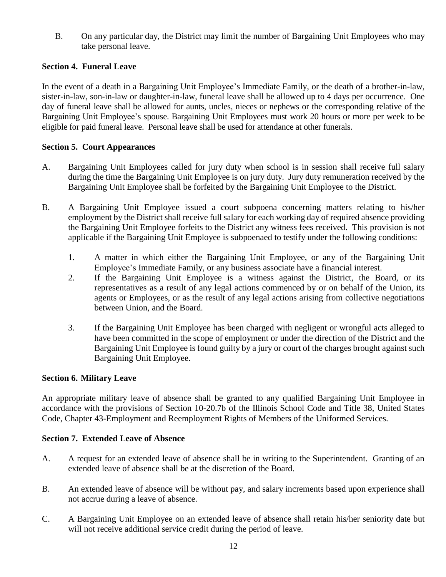B. On any particular day, the District may limit the number of Bargaining Unit Employees who may take personal leave.

#### **Section 4. Funeral Leave**

In the event of a death in a Bargaining Unit Employee's Immediate Family, or the death of a brother-in-law, sister-in-law, son-in-law or daughter-in-law, funeral leave shall be allowed up to 4 days per occurrence. One day of funeral leave shall be allowed for aunts, uncles, nieces or nephews or the corresponding relative of the Bargaining Unit Employee's spouse. Bargaining Unit Employees must work 20 hours or more per week to be eligible for paid funeral leave. Personal leave shall be used for attendance at other funerals.

#### **Section 5. Court Appearances**

- A. Bargaining Unit Employees called for jury duty when school is in session shall receive full salary during the time the Bargaining Unit Employee is on jury duty. Jury duty remuneration received by the Bargaining Unit Employee shall be forfeited by the Bargaining Unit Employee to the District.
- B. A Bargaining Unit Employee issued a court subpoena concerning matters relating to his/her employment by the District shall receive full salary for each working day of required absence providing the Bargaining Unit Employee forfeits to the District any witness fees received. This provision is not applicable if the Bargaining Unit Employee is subpoenaed to testify under the following conditions:
	- 1. A matter in which either the Bargaining Unit Employee, or any of the Bargaining Unit Employee's Immediate Family, or any business associate have a financial interest.
	- 2. If the Bargaining Unit Employee is a witness against the District, the Board, or its representatives as a result of any legal actions commenced by or on behalf of the Union, its agents or Employees, or as the result of any legal actions arising from collective negotiations between Union, and the Board.
	- 3. If the Bargaining Unit Employee has been charged with negligent or wrongful acts alleged to have been committed in the scope of employment or under the direction of the District and the Bargaining Unit Employee is found guilty by a jury or court of the charges brought against such Bargaining Unit Employee.

#### **Section 6. Military Leave**

An appropriate military leave of absence shall be granted to any qualified Bargaining Unit Employee in accordance with the provisions of Section 10-20.7b of the Illinois School Code and Title 38, United States Code, Chapter 43-Employment and Reemployment Rights of Members of the Uniformed Services.

#### **Section 7. Extended Leave of Absence**

- A. A request for an extended leave of absence shall be in writing to the Superintendent. Granting of an extended leave of absence shall be at the discretion of the Board.
- B. An extended leave of absence will be without pay, and salary increments based upon experience shall not accrue during a leave of absence.
- C. A Bargaining Unit Employee on an extended leave of absence shall retain his/her seniority date but will not receive additional service credit during the period of leave.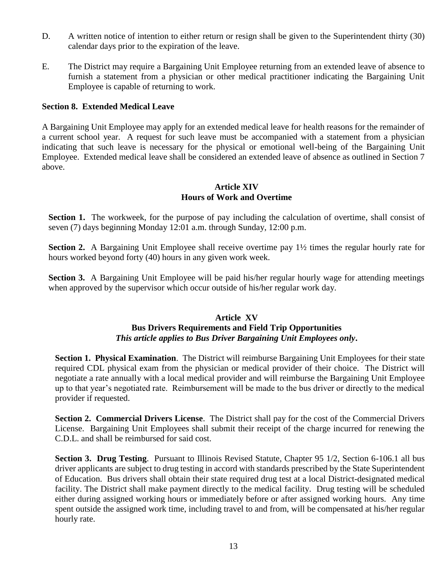- D. A written notice of intention to either return or resign shall be given to the Superintendent thirty (30) calendar days prior to the expiration of the leave.
- E. The District may require a Bargaining Unit Employee returning from an extended leave of absence to furnish a statement from a physician or other medical practitioner indicating the Bargaining Unit Employee is capable of returning to work.

#### **Section 8. Extended Medical Leave**

A Bargaining Unit Employee may apply for an extended medical leave for health reasons for the remainder of a current school year. A request for such leave must be accompanied with a statement from a physician indicating that such leave is necessary for the physical or emotional well-being of the Bargaining Unit Employee. Extended medical leave shall be considered an extended leave of absence as outlined in Section 7 above.

#### **Article XIV Hours of Work and Overtime**

**Section 1.** The workweek, for the purpose of pay including the calculation of overtime, shall consist of seven (7) days beginning Monday 12:01 a.m. through Sunday, 12:00 p.m.

**Section 2.** A Bargaining Unit Employee shall receive overtime pay  $1\frac{1}{2}$  times the regular hourly rate for hours worked beyond forty (40) hours in any given work week.

**Section 3.** A Bargaining Unit Employee will be paid his/her regular hourly wage for attending meetings when approved by the supervisor which occur outside of his/her regular work day.

#### **Article XV Bus Drivers Requirements and Field Trip Opportunities** *This article applies to Bus Driver Bargaining Unit Employees only***.**

**Section 1. Physical Examination.** The District will reimburse Bargaining Unit Employees for their state required CDL physical exam from the physician or medical provider of their choice. The District will negotiate a rate annually with a local medical provider and will reimburse the Bargaining Unit Employee up to that year's negotiated rate. Reimbursement will be made to the bus driver or directly to the medical provider if requested.

**Section 2. Commercial Drivers License**. The District shall pay for the cost of the Commercial Drivers License. Bargaining Unit Employees shall submit their receipt of the charge incurred for renewing the C.D.L. and shall be reimbursed for said cost.

**Section 3. Drug Testing**. Pursuant to Illinois Revised Statute, Chapter 95 1/2, Section 6-106.1 all bus driver applicants are subject to drug testing in accord with standards prescribed by the State Superintendent of Education. Bus drivers shall obtain their state required drug test at a local District-designated medical facility. The District shall make payment directly to the medical facility. Drug testing will be scheduled either during assigned working hours or immediately before or after assigned working hours. Any time spent outside the assigned work time, including travel to and from, will be compensated at his/her regular hourly rate.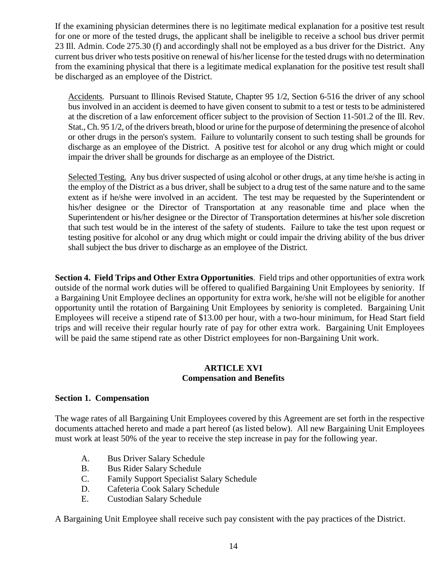If the examining physician determines there is no legitimate medical explanation for a positive test result for one or more of the tested drugs, the applicant shall be ineligible to receive a school bus driver permit 23 Ill. Admin. Code 275.30 (f) and accordingly shall not be employed as a bus driver for the District. Any current bus driver who tests positive on renewal of his/her license for the tested drugs with no determination from the examining physical that there is a legitimate medical explanation for the positive test result shall be discharged as an employee of the District.

Accidents. Pursuant to Illinois Revised Statute, Chapter 95 1/2, Section 6-516 the driver of any school bus involved in an accident is deemed to have given consent to submit to a test or tests to be administered at the discretion of a law enforcement officer subject to the provision of Section 11-501.2 of the Ill. Rev. Stat., Ch. 95 1/2, of the drivers breath, blood or urine for the purpose of determining the presence of alcohol or other drugs in the person's system. Failure to voluntarily consent to such testing shall be grounds for discharge as an employee of the District. A positive test for alcohol or any drug which might or could impair the driver shall be grounds for discharge as an employee of the District.

Selected Testing. Any bus driver suspected of using alcohol or other drugs, at any time he/she is acting in the employ of the District as a bus driver, shall be subject to a drug test of the same nature and to the same extent as if he/she were involved in an accident. The test may be requested by the Superintendent or his/her designee or the Director of Transportation at any reasonable time and place when the Superintendent or his/her designee or the Director of Transportation determines at his/her sole discretion that such test would be in the interest of the safety of students. Failure to take the test upon request or testing positive for alcohol or any drug which might or could impair the driving ability of the bus driver shall subject the bus driver to discharge as an employee of the District.

**Section 4. Field Trips and Other Extra Opportunities**. Field trips and other opportunities of extra work outside of the normal work duties will be offered to qualified Bargaining Unit Employees by seniority. If a Bargaining Unit Employee declines an opportunity for extra work, he/she will not be eligible for another opportunity until the rotation of Bargaining Unit Employees by seniority is completed. Bargaining Unit Employees will receive a stipend rate of \$13.00 per hour, with a two-hour minimum, for Head Start field trips and will receive their regular hourly rate of pay for other extra work. Bargaining Unit Employees will be paid the same stipend rate as other District employees for non-Bargaining Unit work.

#### **ARTICLE XVI Compensation and Benefits**

#### **Section 1. Compensation**

The wage rates of all Bargaining Unit Employees covered by this Agreement are set forth in the respective documents attached hereto and made a part hereof (as listed below). All new Bargaining Unit Employees must work at least 50% of the year to receive the step increase in pay for the following year.

- A. Bus Driver Salary Schedule
- B. Bus Rider Salary Schedule
- C. Family Support Specialist Salary Schedule
- D. Cafeteria Cook Salary Schedule
- E. Custodian Salary Schedule

A Bargaining Unit Employee shall receive such pay consistent with the pay practices of the District.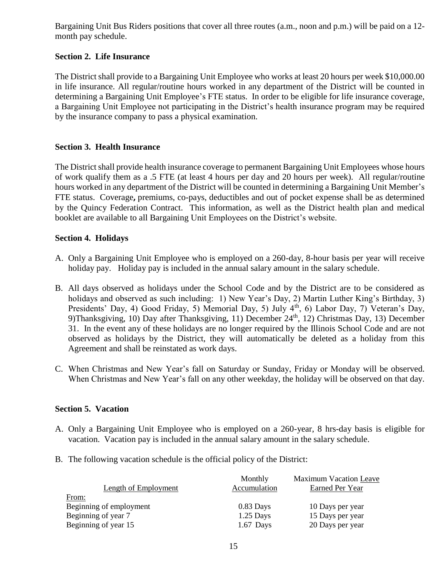Bargaining Unit Bus Riders positions that cover all three routes (a.m., noon and p.m.) will be paid on a 12 month pay schedule.

#### **Section 2. Life Insurance**

The District shall provide to a Bargaining Unit Employee who works at least 20 hours per week \$10,000.00 in life insurance. All regular/routine hours worked in any department of the District will be counted in determining a Bargaining Unit Employee's FTE status. In order to be eligible for life insurance coverage, a Bargaining Unit Employee not participating in the District's health insurance program may be required by the insurance company to pass a physical examination.

#### **Section 3. Health Insurance**

The District shall provide health insurance coverage to permanent Bargaining Unit Employees whose hours of work qualify them as a .5 FTE (at least 4 hours per day and 20 hours per week). All regular/routine hours worked in any department of the District will be counted in determining a Bargaining Unit Member's FTE status. Coverage**,** premiums, co-pays, deductibles and out of pocket expense shall be as determined by the Quincy Federation Contract. This information, as well as the District health plan and medical booklet are available to all Bargaining Unit Employees on the District's website.

#### **Section 4. Holidays**

- A. Only a Bargaining Unit Employee who is employed on a 260-day, 8-hour basis per year will receive holiday pay. Holiday pay is included in the annual salary amount in the salary schedule.
- B. All days observed as holidays under the School Code and by the District are to be considered as holidays and observed as such including: 1) New Year's Day, 2) Martin Luther King's Birthday, 3) Presidents' Day, 4) Good Friday, 5) Memorial Day, 5) July 4<sup>th</sup>, 6) Labor Day, 7) Veteran's Day, 9)Thanksgiving, 10) Day after Thanksgiving, 11) December  $24<sup>th</sup>$ , 12) Christmas Day, 13) December 31. In the event any of these holidays are no longer required by the Illinois School Code and are not observed as holidays by the District, they will automatically be deleted as a holiday from this Agreement and shall be reinstated as work days.
- C. When Christmas and New Year's fall on Saturday or Sunday, Friday or Monday will be observed. When Christmas and New Year's fall on any other weekday, the holiday will be observed on that day.

#### **Section 5. Vacation**

- A. Only a Bargaining Unit Employee who is employed on a 260-year, 8 hrs-day basis is eligible for vacation. Vacation pay is included in the annual salary amount in the salary schedule.
- B. The following vacation schedule is the official policy of the District:

| <b>Length of Employment</b> | Monthly<br>Accumulation | <b>Maximum Vacation Leave</b><br>Earned Per Year |
|-----------------------------|-------------------------|--------------------------------------------------|
| From:                       |                         |                                                  |
| Beginning of employment     | $0.83$ Days             | 10 Days per year                                 |
| Beginning of year 7         | $1.25$ Days             | 15 Days per year                                 |
| Beginning of year 15        | $1.67$ Days             | 20 Days per year                                 |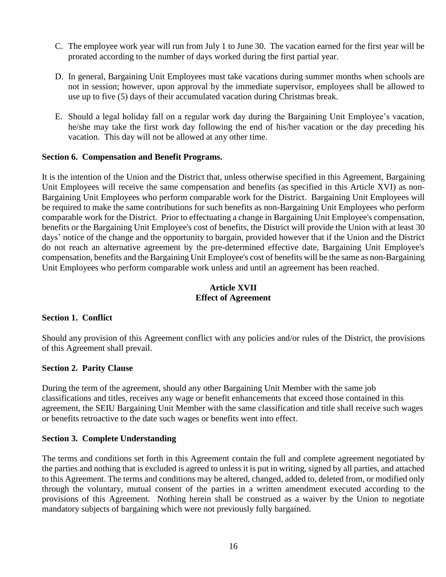- C. The employee work year will run from July 1 to June 30. The vacation earned for the first year will be prorated according to the number of days worked during the first partial year.
- D. In general, Bargaining Unit Employees must take vacations during summer months when schools are not in session; however, upon approval by the immediate supervisor, employees shall be allowed to use up to five (5) days of their accumulated vacation during Christmas break.
- E. Should a legal holiday fall on a regular work day during the Bargaining Unit Employee's vacation, he/she may take the first work day following the end of his/her vacation or the day preceding his vacation. This day will not be allowed at any other time.

#### **Section 6. Compensation and Benefit Programs.**

It is the intention of the Union and the District that, unless otherwise specified in this Agreement, Bargaining Unit Employees will receive the same compensation and benefits (as specified in this Article XVI) as non-Bargaining Unit Employees who perform comparable work for the District. Bargaining Unit Employees will be required to make the same contributions for such benefits as non-Bargaining Unit Employees who perform comparable work for the District. Prior to effectuating a change in Bargaining Unit Employee's compensation, benefits or the Bargaining Unit Employee's cost of benefits, the District will provide the Union with at least 30 days' notice of the change and the opportunity to bargain, provided however that if the Union and the District do not reach an alternative agreement by the pre-determined effective date, Bargaining Unit Employee's compensation, benefits and the Bargaining Unit Employee's cost of benefits will be the same as non-Bargaining Unit Employees who perform comparable work unless and until an agreement has been reached.

#### **Article XVII Effect of Agreement**

#### **Section 1. Conflict**

Should any provision of this Agreement conflict with any policies and/or rules of the District, the provisions of this Agreement shall prevail.

#### **Section 2. Parity Clause**

During the term of the agreement, should any other Bargaining Unit Member with the same job classifications and titles, receives any wage or benefit enhancements that exceed those contained in this agreement, the SEIU Bargaining Unit Member with the same classification and title shall receive such wages or benefits retroactive to the date such wages or benefits went into effect.

#### **Section 3. Complete Understanding**

The terms and conditions set forth in this Agreement contain the full and complete agreement negotiated by the parties and nothing that is excluded is agreed to unless it is put in writing, signed by all parties, and attached to this Agreement. The terms and conditions may be altered, changed, added to, deleted from, or modified only through the voluntary, mutual consent of the parties in a written amendment executed according to the provisions of this Agreement. Nothing herein shall be construed as a waiver by the Union to negotiate mandatory subjects of bargaining which were not previously fully bargained.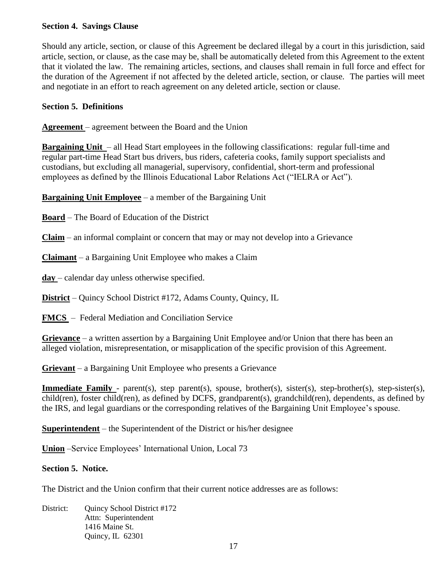#### **Section 4. Savings Clause**

Should any article, section, or clause of this Agreement be declared illegal by a court in this jurisdiction, said article, section, or clause, as the case may be, shall be automatically deleted from this Agreement to the extent that it violated the law. The remaining articles, sections, and clauses shall remain in full force and effect for the duration of the Agreement if not affected by the deleted article, section, or clause. The parties will meet and negotiate in an effort to reach agreement on any deleted article, section or clause.

#### **Section 5. Definitions**

**Agreement** – agreement between the Board and the Union

**Bargaining Unit** – all Head Start employees in the following classifications: regular full-time and regular part-time Head Start bus drivers, bus riders, cafeteria cooks, family support specialists and custodians, but excluding all managerial, supervisory, confidential, short-term and professional employees as defined by the Illinois Educational Labor Relations Act ("IELRA or Act").

**Bargaining Unit Employee** – a member of the Bargaining Unit

**Board** – The Board of Education of the District

**Claim** – an informal complaint or concern that may or may not develop into a Grievance

**Claimant** – a Bargaining Unit Employee who makes a Claim

**day** – calendar day unless otherwise specified.

**District** – Quincy School District #172, Adams County, Quincy, IL

**FMCS** – Federal Mediation and Conciliation Service

**Grievance** – a written assertion by a Bargaining Unit Employee and/or Union that there has been an alleged violation, misrepresentation, or misapplication of the specific provision of this Agreement.

**Grievant** – a Bargaining Unit Employee who presents a Grievance

**Immediate Family** - parent(s), step parent(s), spouse, brother(s), sister(s), step-brother(s), step-sister(s), child(ren), foster child(ren), as defined by DCFS, grandparent(s), grandchild(ren), dependents, as defined by the IRS, and legal guardians or the corresponding relatives of the Bargaining Unit Employee's spouse.

**Superintendent** – the Superintendent of the District or his/her designee

**Union** –Service Employees' International Union, Local 73

#### **Section 5. Notice.**

The District and the Union confirm that their current notice addresses are as follows:

District: Ouincy School District #172 Attn: Superintendent 1416 Maine St. Quincy, IL 62301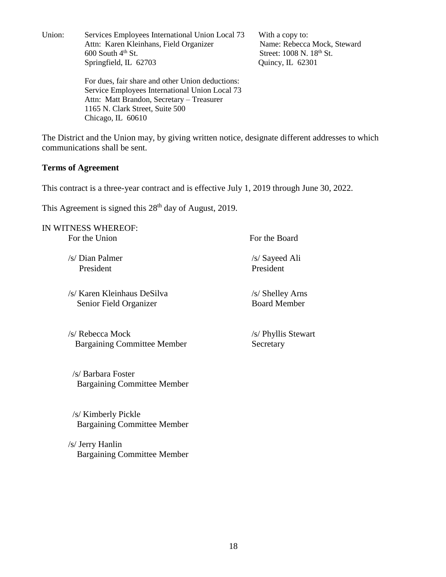Union: Services Employees International Union Local 73 With a copy to: Attn: Karen Kleinhans, Field Organizer Name: Rebecca Mock, Steward 600 South  $4<sup>th</sup>$  St. Street: 1008 N. 18<sup>th</sup> St. Springfield, IL 62703 Quincy, IL 62301

For dues, fair share and other Union deductions: Service Employees International Union Local 73 Attn: Matt Brandon, Secretary – Treasurer 1165 N. Clark Street, Suite 500 Chicago, IL 60610

The District and the Union may, by giving written notice, designate different addresses to which communications shall be sent.

#### **Terms of Agreement**

This contract is a three-year contract and is effective July 1, 2019 through June 30, 2022.

This Agreement is signed this 28<sup>th</sup> day of August, 2019.

IN WITNESS WHEREOF: For the Union For the Board /s/ Dian Palmer /s/ Sayeed Ali President President /s/ Karen Kleinhaus DeSilva /s/ Shelley Arns Senior Field Organizer Board Member /s/ Rebecca Mock /s/ Phyllis Stewart Bargaining Committee Member Secretary /s/ Barbara Foster Bargaining Committee Member /s/ Kimberly Pickle Bargaining Committee Member

/s/ Jerry Hanlin Bargaining Committee Member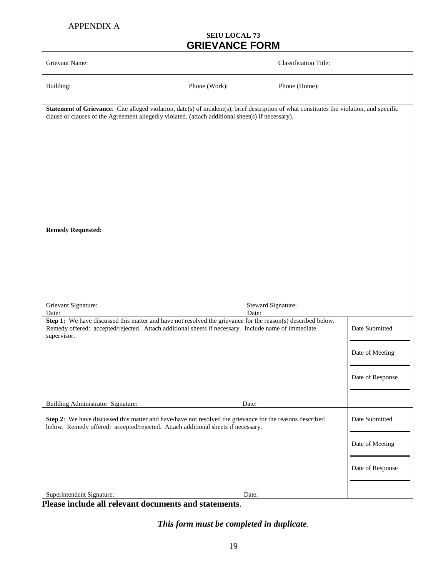#### **SEIU LOCAL 73 GRIEVANCE FORM**

| Grievant Name:                                                                                                                                                                                                                                 |               | <b>Classification Title:</b> |                  |
|------------------------------------------------------------------------------------------------------------------------------------------------------------------------------------------------------------------------------------------------|---------------|------------------------------|------------------|
| Building:                                                                                                                                                                                                                                      | Phone (Work): | Phone (Home):                |                  |
| Statement of Grievance: Cite alleged violation, date(s) of incident(s), brief description of what constitutes the violation, and specific<br>clause or clauses of the Agreement allegedly violated. (attach additional sheet(s) if necessary). |               |                              |                  |
|                                                                                                                                                                                                                                                |               |                              |                  |
|                                                                                                                                                                                                                                                |               |                              |                  |
| <b>Remedy Requested:</b>                                                                                                                                                                                                                       |               |                              |                  |
|                                                                                                                                                                                                                                                |               |                              |                  |
|                                                                                                                                                                                                                                                |               |                              |                  |
|                                                                                                                                                                                                                                                |               |                              |                  |
| Grievant Signature:<br>Date:                                                                                                                                                                                                                   |               | Steward Signature:<br>Date:  |                  |
| Step 1: We have discussed this matter and have not resolved the grievance for the reason(s) described below.<br>Remedy offered: accepted/rejected. Attach additional sheets if necessary. Include name of immediate<br>supervisor.             |               |                              | Date Submitted   |
|                                                                                                                                                                                                                                                |               |                              | Date of Meeting  |
|                                                                                                                                                                                                                                                |               |                              | Date of Response |
| Building Administrator Signature:                                                                                                                                                                                                              |               | Date:                        |                  |
| Step 2: We have discussed this matter and have/have not resolved the grievance for the reasons described<br>below. Remedy offered: accepted/rejected. Attach additional sheets if necessary.                                                   |               |                              | Date Submitted   |
|                                                                                                                                                                                                                                                |               |                              | Date of Meeting  |
|                                                                                                                                                                                                                                                |               |                              | Date of Response |
| Superintendent Signature:                                                                                                                                                                                                                      |               | Date:                        |                  |

**Please include all relevant documents and statements**.

*This form must be completed in duplicate*.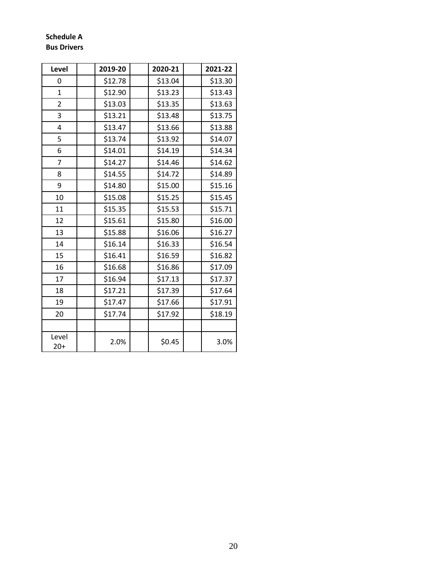#### **Schedule A Bus Drivers**

| Level          | 2019-20 | 2020-21 | 2021-22 |
|----------------|---------|---------|---------|
| 0              | \$12.78 | \$13.04 | \$13.30 |
| $\mathbf{1}$   | \$12.90 | \$13.23 | \$13.43 |
| 2              | \$13.03 | \$13.35 | \$13.63 |
| 3              | \$13.21 | \$13.48 | \$13.75 |
| 4              | \$13.47 | \$13.66 | \$13.88 |
| 5              | \$13.74 | \$13.92 | \$14.07 |
| 6              | \$14.01 | \$14.19 | \$14.34 |
| $\overline{7}$ | \$14.27 | \$14.46 | \$14.62 |
| 8              | \$14.55 | \$14.72 | \$14.89 |
| 9              | \$14.80 | \$15.00 | \$15.16 |
| 10             | \$15.08 | \$15.25 | \$15.45 |
| 11             | \$15.35 | \$15.53 | \$15.71 |
| 12             | \$15.61 | \$15.80 | \$16.00 |
| 13             | \$15.88 | \$16.06 | \$16.27 |
| 14             | \$16.14 | \$16.33 | \$16.54 |
| 15             | \$16.41 | \$16.59 | \$16.82 |
| 16             | \$16.68 | \$16.86 | \$17.09 |
| 17             | \$16.94 | \$17.13 | \$17.37 |
| 18             | \$17.21 | \$17.39 | \$17.64 |
| 19             | \$17.47 | \$17.66 | \$17.91 |
| 20             | \$17.74 | \$17.92 | \$18.19 |
|                |         |         |         |
| Level<br>$20+$ | 2.0%    | \$0.45  | 3.0%    |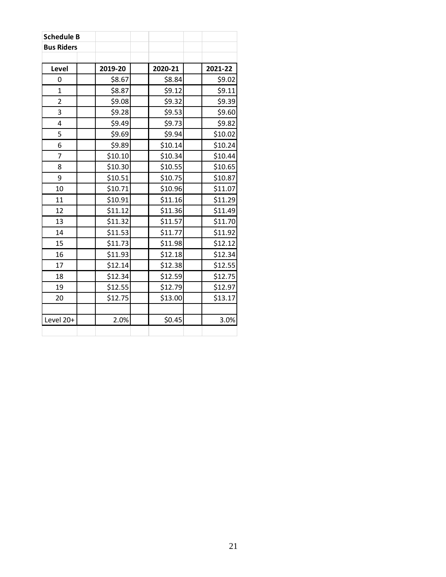| <b>Schedule B</b> |         |         |         |
|-------------------|---------|---------|---------|
| <b>Bus Riders</b> |         |         |         |
|                   |         |         |         |
| Level             | 2019-20 | 2020-21 | 2021-22 |
| 0                 | \$8.67  | \$8.84  | \$9.02  |
| $\mathbf 1$       | \$8.87  | \$9.12  | \$9.11  |
| $\overline{2}$    | \$9.08  | \$9.32  | \$9.39  |
| 3                 | \$9.28  | \$9.53  | \$9.60  |
| $\overline{4}$    | \$9.49  | \$9.73  | \$9.82  |
| 5                 | \$9.69  | \$9.94  | \$10.02 |
| 6                 | \$9.89  | \$10.14 | \$10.24 |
| 7                 | \$10.10 | \$10.34 | \$10.44 |
| 8                 | \$10.30 | \$10.55 | \$10.65 |
| 9                 | \$10.51 | \$10.75 | \$10.87 |
| 10                | \$10.71 | \$10.96 | \$11.07 |
| 11                | \$10.91 | \$11.16 | \$11.29 |
| 12                | \$11.12 | \$11.36 | \$11.49 |
| 13                | \$11.32 | \$11.57 | \$11.70 |
| 14                | \$11.53 | \$11.77 | \$11.92 |
| 15                | \$11.73 | \$11.98 | \$12.12 |
| 16                | \$11.93 | \$12.18 | \$12.34 |
| 17                | \$12.14 | \$12.38 | \$12.55 |
| 18                | \$12.34 | \$12.59 | \$12.75 |
| 19                | \$12.55 | \$12.79 | \$12.97 |
| 20                | \$12.75 | \$13.00 | \$13.17 |
|                   |         |         |         |
| Level 20+         | 2.0%    | \$0.45  | 3.0%    |
|                   |         |         |         |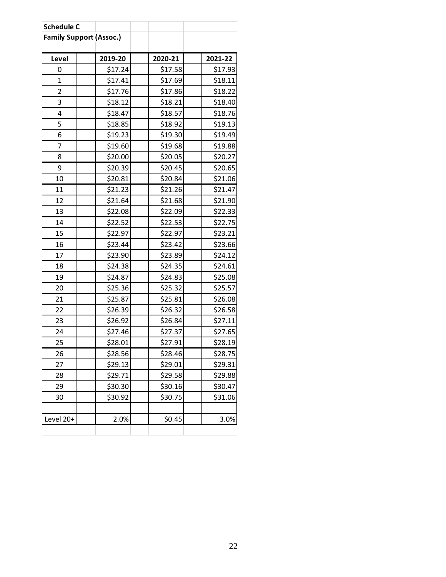| <b>Schedule C</b> |                                |         |         |
|-------------------|--------------------------------|---------|---------|
|                   | <b>Family Support (Assoc.)</b> |         |         |
|                   |                                |         |         |
| Level             | 2019-20                        | 2020-21 | 2021-22 |
| 0                 | \$17.24                        | \$17.58 | \$17.93 |
| 1                 | \$17.41                        | \$17.69 | \$18.11 |
| $\overline{2}$    | \$17.76                        | \$17.86 | \$18.22 |
| 3                 | \$18.12                        | \$18.21 | \$18.40 |
| 4                 | \$18.47                        | \$18.57 | \$18.76 |
| 5                 | \$18.85                        | \$18.92 | \$19.13 |
| 6                 | \$19.23                        | \$19.30 | \$19.49 |
| 7                 | \$19.60                        | \$19.68 | \$19.88 |
| 8                 | \$20.00                        | \$20.05 | \$20.27 |
| 9                 | \$20.39                        | \$20.45 | \$20.65 |
| 10                | \$20.81                        | \$20.84 | \$21.06 |
| 11                | \$21.23                        | \$21.26 | \$21.47 |
| 12                | \$21.64                        | \$21.68 | \$21.90 |
| 13                | \$22.08                        | \$22.09 | \$22.33 |
| 14                | \$22.52                        | \$22.53 | \$22.75 |
| 15                | \$22.97                        | \$22.97 | \$23.21 |
| 16                | \$23.44                        | \$23.42 | \$23.66 |
| 17                | \$23.90                        | \$23.89 | \$24.12 |
| 18                | \$24.38                        | \$24.35 | \$24.61 |
| 19                | \$24.87                        | \$24.83 | \$25.08 |
| 20                | \$25.36                        | \$25.32 | \$25.57 |
| 21                | \$25.87                        | \$25.81 | \$26.08 |
| 22                | \$26.39                        | \$26.32 | \$26.58 |
| 23                | \$26.92                        | \$26.84 | \$27.11 |
| 24                | \$27.46                        | \$27.37 | \$27.65 |
| 25                | \$28.01                        | \$27.91 | \$28.19 |
| 26                | \$28.56                        | \$28.46 | \$28.75 |
| 27                | \$29.13                        | \$29.01 | \$29.31 |
| 28                | \$29.71                        | \$29.58 | \$29.88 |
| 29                | \$30.30                        | \$30.16 | \$30.47 |
| 30                | \$30.92                        | \$30.75 | \$31.06 |
|                   |                                |         |         |
| Level 20+         | 2.0%                           | \$0.45  | 3.0%    |
|                   |                                |         |         |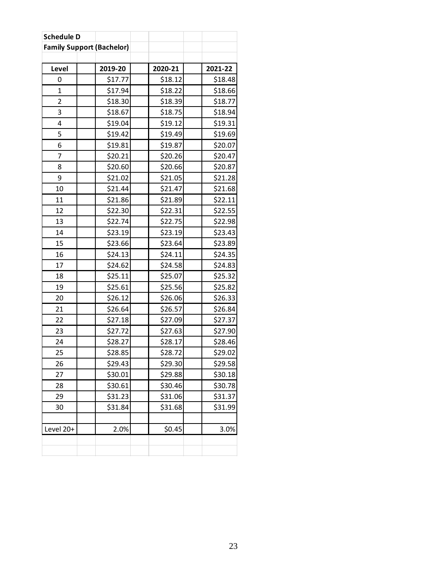| <b>Schedule D</b>                |         |         |         |
|----------------------------------|---------|---------|---------|
| <b>Family Support (Bachelor)</b> |         |         |         |
|                                  |         |         |         |
| Level                            | 2019-20 | 2020-21 | 2021-22 |
| 0                                | \$17.77 | \$18.12 | \$18.48 |
| 1                                | \$17.94 | \$18.22 | \$18.66 |
| $\overline{2}$                   | \$18.30 | \$18.39 | \$18.77 |
| 3                                | \$18.67 | \$18.75 | \$18.94 |
| 4                                | \$19.04 | \$19.12 | \$19.31 |
| 5                                | \$19.42 | \$19.49 | \$19.69 |
| 6                                | \$19.81 | \$19.87 | \$20.07 |
| 7                                | \$20.21 | \$20.26 | \$20.47 |
| 8                                | \$20.60 | \$20.66 | \$20.87 |
| 9                                | \$21.02 | \$21.05 | \$21.28 |
| 10                               | \$21.44 | \$21.47 | \$21.68 |
| 11                               | \$21.86 | \$21.89 | \$22.11 |
| 12                               | \$22.30 | \$22.31 | \$22.55 |
| 13                               | \$22.74 | \$22.75 | \$22.98 |
| 14                               | \$23.19 | \$23.19 | \$23.43 |
| 15                               | \$23.66 | \$23.64 | \$23.89 |
| 16                               | \$24.13 | \$24.11 | \$24.35 |
| 17                               | \$24.62 | \$24.58 | \$24.83 |
| 18                               | \$25.11 | \$25.07 | \$25.32 |
| 19                               | \$25.61 | \$25.56 | \$25.82 |
| 20                               | \$26.12 | \$26.06 | \$26.33 |
| 21                               | \$26.64 | \$26.57 | \$26.84 |
| 22                               | \$27.18 | \$27.09 | \$27.37 |
| 23                               | \$27.72 | \$27.63 | \$27.90 |
| 24                               | \$28.27 | \$28.17 | \$28.46 |
| 25                               | \$28.85 | \$28.72 | \$29.02 |
| 26                               | \$29.43 | \$29.30 | \$29.58 |
| 27                               | \$30.01 | \$29.88 | \$30.18 |
| 28                               | \$30.61 | \$30.46 | \$30.78 |
| 29                               | \$31.23 | \$31.06 | \$31.37 |
| 30                               | \$31.84 | \$31.68 | \$31.99 |
|                                  |         |         |         |
| Level 20+                        | 2.0%    | \$0.45  | 3.0%    |
|                                  |         |         |         |
|                                  |         |         |         |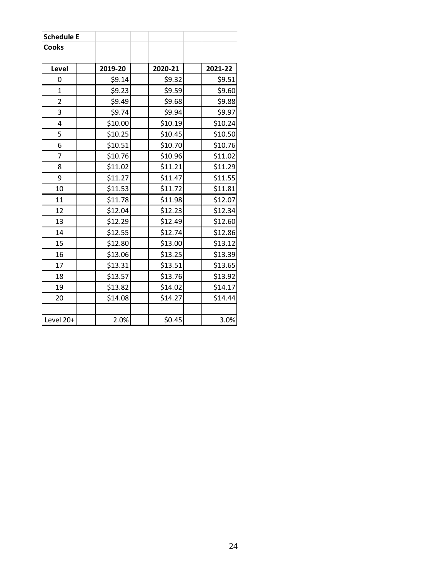| <b>Schedule E</b> |         |         |         |
|-------------------|---------|---------|---------|
| Cooks             |         |         |         |
|                   |         |         |         |
| Level             | 2019-20 | 2020-21 | 2021-22 |
| 0                 | \$9.14  | \$9.32  | \$9.51  |
| $\mathbf{1}$      | \$9.23  | \$9.59  | \$9.60  |
| $\overline{2}$    | \$9.49  | \$9.68  | \$9.88  |
| 3                 | \$9.74  | \$9.94  | \$9.97  |
| $\overline{4}$    | \$10.00 | \$10.19 | \$10.24 |
| 5                 | \$10.25 | \$10.45 | \$10.50 |
| 6                 | \$10.51 | \$10.70 | \$10.76 |
| 7                 | \$10.76 | \$10.96 | \$11.02 |
| 8                 | \$11.02 | \$11.21 | \$11.29 |
| 9                 | \$11.27 | \$11.47 | \$11.55 |
| 10                | \$11.53 | \$11.72 | \$11.81 |
| 11                | \$11.78 | \$11.98 | \$12.07 |
| 12                | \$12.04 | \$12.23 | \$12.34 |
| 13                | \$12.29 | \$12.49 | \$12.60 |
| 14                | \$12.55 | \$12.74 | \$12.86 |
| 15                | \$12.80 | \$13.00 | \$13.12 |
| 16                | \$13.06 | \$13.25 | \$13.39 |
| 17                | \$13.31 | \$13.51 | \$13.65 |
| 18                | \$13.57 | \$13.76 | \$13.92 |
| 19                | \$13.82 | \$14.02 | \$14.17 |
| 20                | \$14.08 | \$14.27 | \$14.44 |
|                   |         |         |         |
| Level 20+         | 2.0%    | \$0.45  | 3.0%    |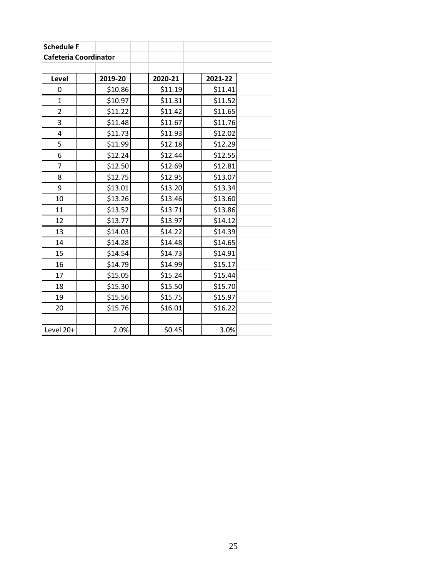| <b>Schedule F</b>            |         |         |         |  |
|------------------------------|---------|---------|---------|--|
| <b>Cafeteria Coordinator</b> |         |         |         |  |
|                              |         |         |         |  |
| Level                        | 2019-20 | 2020-21 | 2021-22 |  |
| 0                            | \$10.86 | \$11.19 | \$11.41 |  |
| 1                            | \$10.97 | \$11.31 | \$11.52 |  |
| $\overline{2}$               | \$11.22 | \$11.42 | \$11.65 |  |
| 3                            | \$11.48 | \$11.67 | \$11.76 |  |
| 4                            | \$11.73 | \$11.93 | \$12.02 |  |
| 5                            | \$11.99 | \$12.18 | \$12.29 |  |
| 6                            | \$12.24 | \$12.44 | \$12.55 |  |
| $\overline{7}$               | \$12.50 | \$12.69 | \$12.81 |  |
| 8                            | \$12.75 | \$12.95 | \$13.07 |  |
| 9                            | \$13.01 | \$13.20 | \$13.34 |  |
| 10                           | \$13.26 | \$13.46 | \$13.60 |  |
| 11                           | \$13.52 | \$13.71 | \$13.86 |  |
| 12                           | \$13.77 | \$13.97 | \$14.12 |  |
| 13                           | \$14.03 | \$14.22 | \$14.39 |  |
| 14                           | \$14.28 | \$14.48 | \$14.65 |  |
| 15                           | \$14.54 | \$14.73 | \$14.91 |  |
| 16                           | \$14.79 | \$14.99 | \$15.17 |  |
| 17                           | \$15.05 | \$15.24 | \$15.44 |  |
| 18                           | \$15.30 | \$15.50 | \$15.70 |  |
| 19                           | \$15.56 | \$15.75 | \$15.97 |  |
| 20                           | \$15.76 | \$16.01 | \$16.22 |  |
|                              |         |         |         |  |
| Level 20+                    | 2.0%    | \$0.45  | 3.0%    |  |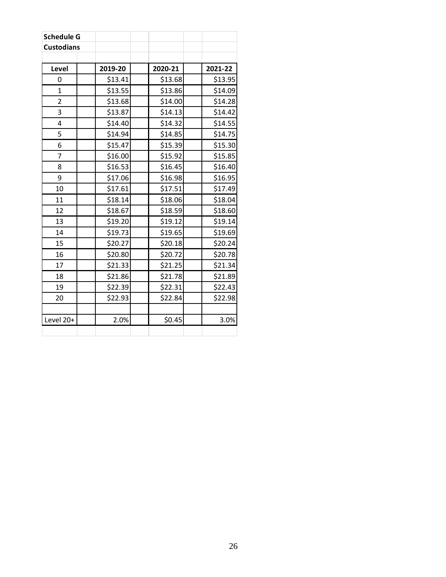| <b>Schedule G</b> |         |         |         |
|-------------------|---------|---------|---------|
| <b>Custodians</b> |         |         |         |
|                   |         |         |         |
| Level             | 2019-20 | 2020-21 | 2021-22 |
| 0                 | \$13.41 | \$13.68 | \$13.95 |
| $\mathbf{1}$      | \$13.55 | \$13.86 | \$14.09 |
| $\overline{2}$    | \$13.68 | \$14.00 | \$14.28 |
| 3                 | \$13.87 | \$14.13 | \$14.42 |
| 4                 | \$14.40 | \$14.32 | \$14.55 |
| 5                 | \$14.94 | \$14.85 | \$14.75 |
| 6                 | \$15.47 | \$15.39 | \$15.30 |
| 7                 | \$16.00 | \$15.92 | \$15.85 |
| 8                 | \$16.53 | \$16.45 | \$16.40 |
| 9                 | \$17.06 | \$16.98 | \$16.95 |
| 10                | \$17.61 | \$17.51 | \$17.49 |
| 11                | \$18.14 | \$18.06 | \$18.04 |
| 12                | \$18.67 | \$18.59 | \$18.60 |
| 13                | \$19.20 | \$19.12 | \$19.14 |
| 14                | \$19.73 | \$19.65 | \$19.69 |
| 15                | \$20.27 | \$20.18 | \$20.24 |
| 16                | \$20.80 | \$20.72 | \$20.78 |
| 17                | \$21.33 | \$21.25 | \$21.34 |
| 18                | \$21.86 | \$21.78 | \$21.89 |
| 19                | \$22.39 | \$22.31 | \$22.43 |
| 20                | \$22.93 | \$22.84 | \$22.98 |
|                   |         |         |         |
| Level 20+         | 2.0%    | \$0.45  | 3.0%    |
|                   |         |         |         |